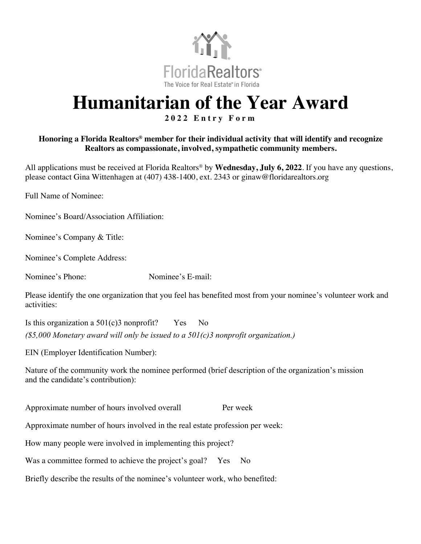

## **Humanitarian of the Year Award**

## **2 0 2 2 Entry Form**

## **Honoring a Florida Realtors® member for their individual activity that will identify and recognize Realtors as compassionate, involved, sympathetic community members.**

All applications must be received at Florida Realtors® by **Wednesday, July 6, 2022**. If you have any questions, please contact Gina Wittenhagen at (407) 438-1400, ext. 2343 or ginaw@floridarealtors.org

Full Name of Nominee:

Nominee's Board/Association Affiliation:

Nominee's Company & Title:

Nominee's Complete Address:

Nominee's Phone: Nominee's E-mail:

Please identify the one organization that you feel has benefited most from your nominee's volunteer work and activities:

Is this organization a  $501(c)3$  nonprofit? Yes No *(\$5,000 Monetary award will only be issued to a 501(c)3 nonprofit organization.)*

EIN (Employer Identification Number):

Nature of the community work the nominee performed (brief description of the organization's mission and the candidate's contribution):

Approximate number of hours involved overall Per week

Approximate number of hours involved in the real estate profession per week:

How many people were involved in implementing this project?

Was a committee formed to achieve the project's goal? Yes No

Briefly describe the results of the nominee's volunteer work, who benefited: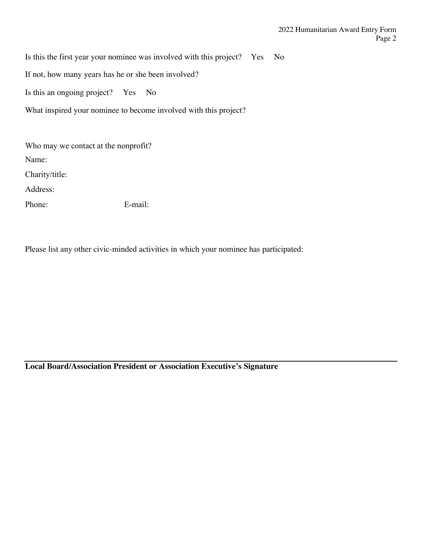Is this the first year your nominee was involved with this project? Yes No

If not, how many years has he or she been involved?

Is this an ongoing project? Yes No

What inspired your nominee to become involved with this project?

Who may we contact at the nonprofit? Name: Charity/title: Address: Phone: E-mail:

Please list any other civic-minded activities in which your nominee has participated:

**Local Board/Association President or Association Executive's Signature**